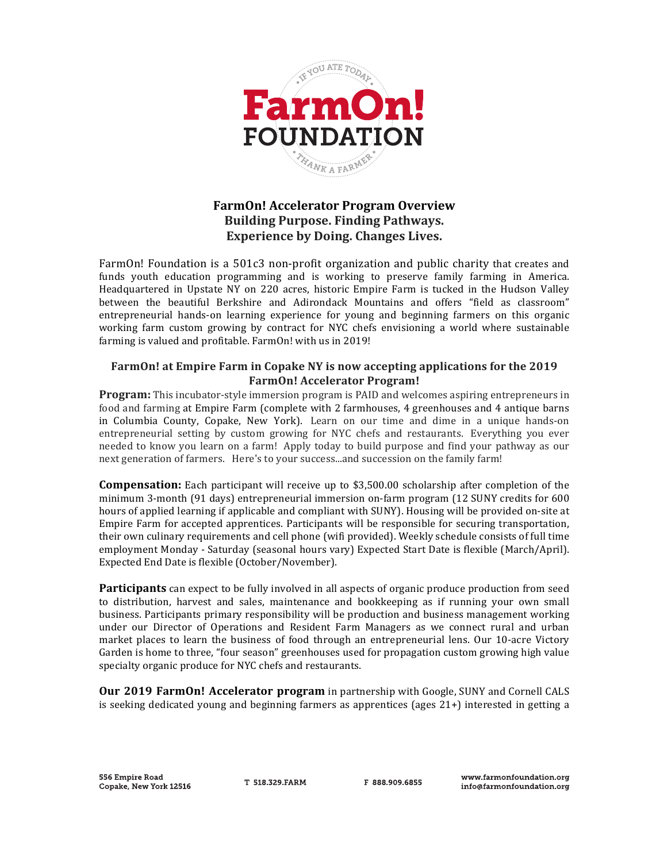

## **FarmOn! Accelerator Program Overview Building Purpose. Finding Pathways. Experience by Doing. Changes Lives.**

FarmOn! Foundation is a 501c3 non-profit organization and public charity that creates and funds youth education programming and is working to preserve family farming in America. Headquartered in Upstate NY on 220 acres, historic Empire Farm is tucked in the Hudson Valley between the beautiful Berkshire and Adirondack Mountains and offers "field as classroom" entrepreneurial hands-on learning experience for young and beginning farmers on this organic working farm custom growing by contract for NYC chefs envisioning a world where sustainable farming is valued and profitable. FarmOn! with us in 2019!

## **FarmOn!** at Empire Farm in Copake NY is now accepting applications for the 2019 **FarmOn! Accelerator Program!**

**Program:** This incubator-style immersion program is PAID and welcomes aspiring entrepreneurs in food and farming at Empire Farm (complete with 2 farmhouses, 4 greenhouses and 4 antique barns in Columbia County, Copake, New York). Learn on our time and dime in a unique hands-on entrepreneurial setting by custom growing for NYC chefs and restaurants. Everything you ever needed to know you learn on a farm! Apply today to build purpose and find your pathway as our next generation of farmers. Here's to your success...and succession on the family farm!

**Compensation:** Each participant will receive up to \$3,500.00 scholarship after completion of the minimum 3-month (91 days) entrepreneurial immersion on-farm program (12 SUNY credits for 600 hours of applied learning if applicable and compliant with SUNY). Housing will be provided on-site at Empire Farm for accepted apprentices. Participants will be responsible for securing transportation, their own culinary requirements and cell phone (wifi provided). Weekly schedule consists of full time employment Monday - Saturday (seasonal hours vary) Expected Start Date is flexible (March/April). Expected End Date is flexible (October/November).

**Participants** can expect to be fully involved in all aspects of organic produce production from seed to distribution, harvest and sales, maintenance and bookkeeping as if running your own small business. Participants primary responsibility will be production and business management working under our Director of Operations and Resident Farm Managers as we connect rural and urban market places to learn the business of food through an entrepreneurial lens. Our 10-acre Victory Garden is home to three, "four season" greenhouses used for propagation custom growing high value specialty organic produce for NYC chefs and restaurants.

**Our 2019 FarmOn! Accelerator program** in partnership with Google, SUNY and Cornell CALS is seeking dedicated young and beginning farmers as apprentices (ages  $21+$ ) interested in getting a

T 518 329 FARM

F 888 909 6855